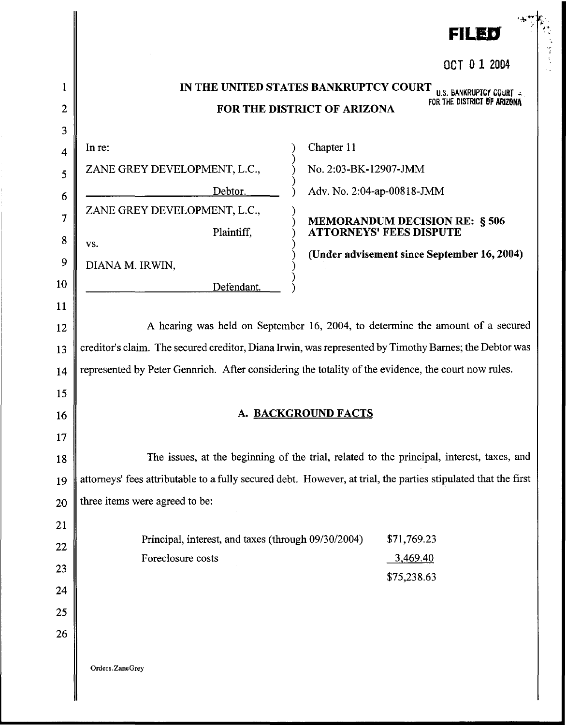|                         |                                                                                                                                                                                          | ▐▆▌█▗▆▗                                                                                                        |  |
|-------------------------|------------------------------------------------------------------------------------------------------------------------------------------------------------------------------------------|----------------------------------------------------------------------------------------------------------------|--|
|                         |                                                                                                                                                                                          | OCT 0 1 2004                                                                                                   |  |
| 1                       |                                                                                                                                                                                          | IN THE UNITED STATES BANKRUPTCY COURT<br>U.S. BANKRUPTCY COURT                                                 |  |
| $\overline{2}$          |                                                                                                                                                                                          | FOR THE DISTRICT OF ARIZONA<br>FOR THE DISTRICT OF ARIZONA                                                     |  |
| 3                       |                                                                                                                                                                                          |                                                                                                                |  |
| $\overline{\mathbf{4}}$ | In re:                                                                                                                                                                                   | Chapter 11                                                                                                     |  |
| 5                       | ZANE GREY DEVELOPMENT, L.C.,                                                                                                                                                             | No. 2:03-BK-12907-JMM                                                                                          |  |
| 6                       | Debtor.                                                                                                                                                                                  | Adv. No. 2:04-ap-00818-JMM                                                                                     |  |
| 7                       | ZANE GREY DEVELOPMENT, L.C.,                                                                                                                                                             | <b>MEMORANDUM DECISION RE: § 506</b>                                                                           |  |
| 8                       | Plaintiff,<br>VS.                                                                                                                                                                        | <b>ATTORNEYS' FEES DISPUTE</b>                                                                                 |  |
| 9                       | DIANA M. IRWIN,                                                                                                                                                                          | (Under advisement since September 16, 2004)                                                                    |  |
| 10                      | Defendant.                                                                                                                                                                               |                                                                                                                |  |
| 11                      |                                                                                                                                                                                          |                                                                                                                |  |
| 12                      | A hearing was held on September 16, 2004, to determine the amount of a secured<br>creditor's claim. The secured creditor, Diana Irwin, was represented by Timothy Barnes; the Debtor was |                                                                                                                |  |
| 13                      |                                                                                                                                                                                          |                                                                                                                |  |
| 14                      | represented by Peter Gennrich. After considering the totality of the evidence, the court now rules.                                                                                      |                                                                                                                |  |
| 15                      |                                                                                                                                                                                          |                                                                                                                |  |
| 16                      | <u>A. BACKGROUND FACTS</u>                                                                                                                                                               |                                                                                                                |  |
| 17                      |                                                                                                                                                                                          |                                                                                                                |  |
| 18                      |                                                                                                                                                                                          | The issues, at the beginning of the trial, related to the principal, interest, taxes, and                      |  |
| 19                      |                                                                                                                                                                                          | attorneys' fees attributable to a fully secured debt. However, at trial, the parties stipulated that the first |  |
| 20                      | three items were agreed to be:                                                                                                                                                           |                                                                                                                |  |
| 21                      |                                                                                                                                                                                          |                                                                                                                |  |
| 22                      | Principal, interest, and taxes (through 09/30/2004)                                                                                                                                      | \$71,769.23                                                                                                    |  |
| 23                      | Foreclosure costs                                                                                                                                                                        | 3,469.40                                                                                                       |  |
| 24                      |                                                                                                                                                                                          | \$75,238.63                                                                                                    |  |
| 25                      |                                                                                                                                                                                          |                                                                                                                |  |
| 26                      |                                                                                                                                                                                          |                                                                                                                |  |
|                         | Orders.ZaneGrey                                                                                                                                                                          |                                                                                                                |  |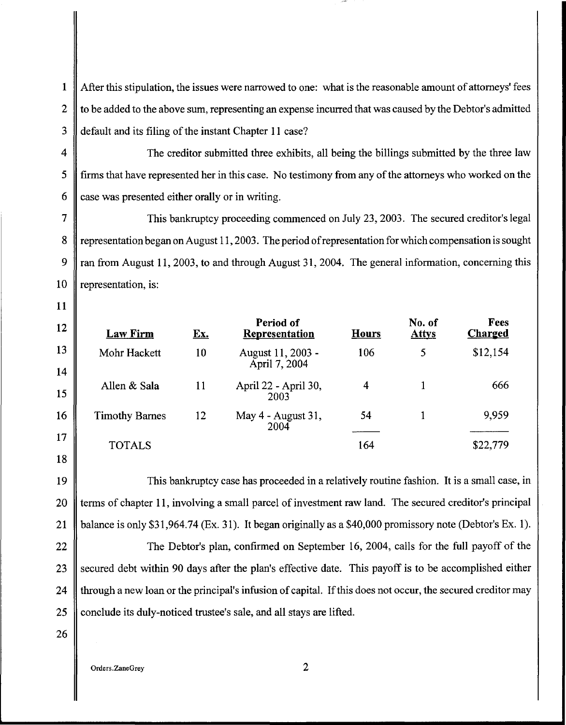1 After this stipulation, the issues were narrowed to one: what is the reasonable amount of attorneys' fees 2 to be added to the above sum, representing an expense incurred that was caused by the Debtor's admitted 3 default and its filing of the instant Chapter II case?

11

12

13

14

15

16

17

18

4 The creditor submitted three exhibits, all being the billings submitted by the three law 5 firms that have represented her in this case. No testimony from any of the attorneys who worked on the 6  $\parallel$  case was presented either orally or in writing.

7 This bankruptcy proceeding commenced on July 23, 2003. The secured creditor's legal 8 representation began on August 11, 2003. The period of representation for which compensation is sought 9  $\parallel$  ran from August 11, 2003, to and through August 31, 2004. The general information, concerning this 10 || representation, is:

Law Firm Mohr Hackett Allen & Sala Timothy Barnes TOTALS Period of Ex. Representation IO August II, 2003 - April 7, 2004 11 April22- April30, 2003 12 May 4 - August 31, 2004 No. of Fees<br>Attys Charged Hours Attys Charged 106 5 \$12,154 4 1 666 54 I 9,959 164 \$22,779

19 This bankruptcy case has proceeded in a relatively routine fashion. It is a small case, in 20 terms of chapter 11, involving a small parcel of investment raw land. The secured creditor's principal 21 **balance is only \$31,964.74 (Ex. 31).** It began originally as a \$40,000 promissory note (Debtor's Ex. 1).

22 The Debtor's plan, confirmed on September 16, 2004, calls for the full payoff of the 23 Secured debt within 90 days after the plan's effective date. This payoff is to be accomplished either 24 If through a new loan or the principal's infusion of capital. If this does not occur, the secured creditor may 25 conclude its duly-noticed trustee's sale, and all stays are lifted.

26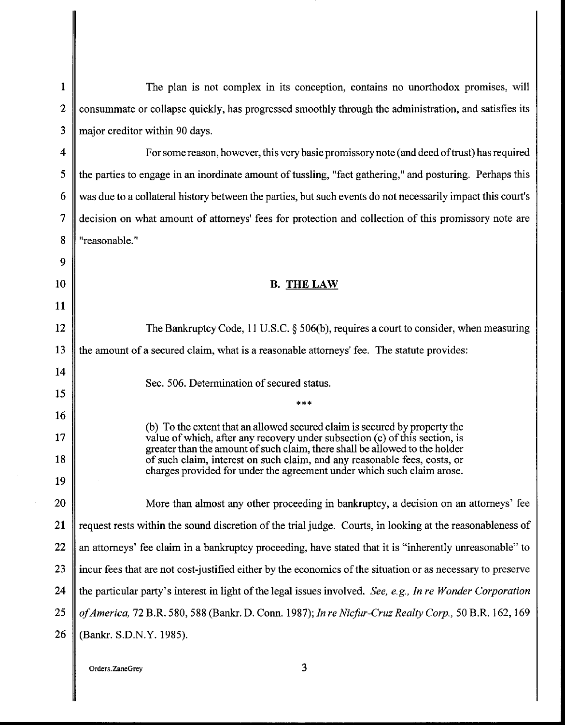| $\mathbf{1}$   | The plan is not complex in its conception, contains no unorthodox promises, will                                                                          |  |
|----------------|-----------------------------------------------------------------------------------------------------------------------------------------------------------|--|
| $\overline{c}$ | consummate or collapse quickly, has progressed smoothly through the administration, and satisfies its                                                     |  |
| 3              | major creditor within 90 days.                                                                                                                            |  |
| 4              | For some reason, however, this very basic promissory note (and deed of trust) has required                                                                |  |
| 5              | the parties to engage in an inordinate amount of tussling, "fact gathering," and posturing. Perhaps this                                                  |  |
| 6              | was due to a collateral history between the parties, but such events do not necessarily impact this court's                                               |  |
| 7              | decision on what amount of attorneys' fees for protection and collection of this promissory note are                                                      |  |
| 8              | "reasonable."                                                                                                                                             |  |
| 9              |                                                                                                                                                           |  |
| 10             | <b>B. THE LAW</b>                                                                                                                                         |  |
| 11             |                                                                                                                                                           |  |
| 12             | The Bankruptcy Code, 11 U.S.C. $\S$ 506(b), requires a court to consider, when measuring                                                                  |  |
| 13             | the amount of a secured claim, what is a reasonable attorneys' fee. The statute provides:                                                                 |  |
| 14             | Sec. 506. Determination of secured status.                                                                                                                |  |
| 15             | ***                                                                                                                                                       |  |
| 16             |                                                                                                                                                           |  |
| 17             | (b) To the extent that an allowed secured claim is secured by property the<br>value of which, after any recovery under subsection (c) of this section, is |  |
| 18             | greater than the amount of such claim, there shall be allowed to the holder<br>of such claim, interest on such claim, and any reasonable fees, costs, or  |  |
| 19             | charges provided for under the agreement under which such claim arose.                                                                                    |  |
| 20             | More than almost any other proceeding in bankruptcy, a decision on an attorneys' fee                                                                      |  |
| 21             | request rests within the sound discretion of the trial judge. Courts, in looking at the reasonableness of                                                 |  |
| 22             | an attorneys' fee claim in a bankruptcy proceeding, have stated that it is "inherently unreasonable" to                                                   |  |
| 23             | incur fees that are not cost-justified either by the economics of the situation or as necessary to preserve                                               |  |
| 24             | the particular party's interest in light of the legal issues involved. See, e.g., In re Wonder Corporation                                                |  |
| 25             | of America, 72 B.R. 580, 588 (Bankr. D. Conn. 1987); In re Nicfur-Cruz Realty Corp., 50 B.R. 162, 169                                                     |  |
| 26             | (Bankr. S.D.N.Y. 1985).                                                                                                                                   |  |
|                |                                                                                                                                                           |  |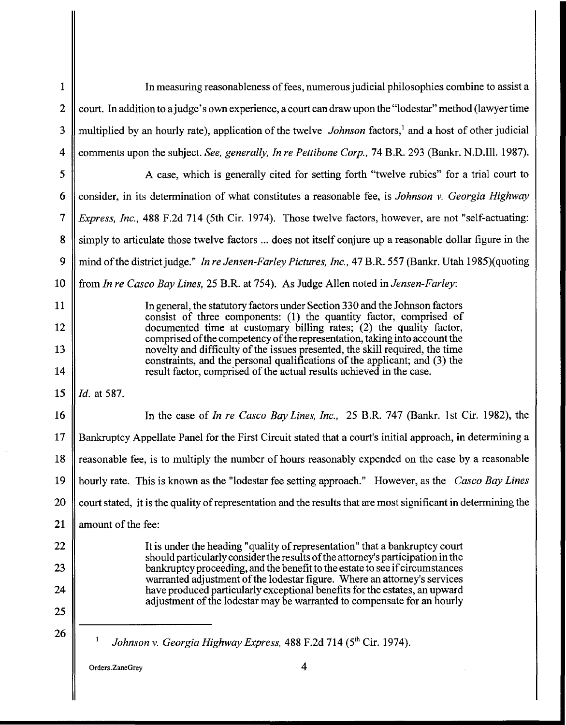| 1            | In measuring reasonableness of fees, numerous judicial philosophies combine to assist a                                                                        |  |  |
|--------------|----------------------------------------------------------------------------------------------------------------------------------------------------------------|--|--|
| $\mathbf{2}$ | court. In addition to a judge's own experience, a court can draw upon the "lodestar" method (lawyer time                                                       |  |  |
| 3            | multiplied by an hourly rate), application of the twelve <i>Johnson</i> factors, <sup>1</sup> and a host of other judicial                                     |  |  |
| 4            | comments upon the subject. See, generally, In re Pettibone Corp., 74 B.R. 293 (Bankr. N.D.Ill. 1987).                                                          |  |  |
| 5            | A case, which is generally cited for setting forth "twelve rubics" for a trial court to                                                                        |  |  |
| 6            | consider, in its determination of what constitutes a reasonable fee, is Johnson v. Georgia Highway                                                             |  |  |
| 7            | Express, Inc., 488 F.2d 714 (5th Cir. 1974). Those twelve factors, however, are not "self-actuating:                                                           |  |  |
| 8            | simply to articulate those twelve factors  does not itself conjure up a reasonable dollar figure in the                                                        |  |  |
| 9            | mind of the district judge." In re Jensen-Farley Pictures, Inc., 47 B.R. 557 (Bankr. Utah 1985) (quoting                                                       |  |  |
| 10           | from In re Casco Bay Lines, 25 B.R. at 754). As Judge Allen noted in Jensen-Farley:                                                                            |  |  |
| 11           | In general, the statutory factors under Section 330 and the Johnson factors                                                                                    |  |  |
| 12           | consist of three components: (1) the quantity factor, comprised of<br>documented time at customary billing rates; (2) the quality factor,                      |  |  |
| 13           | comprised of the competency of the representation, taking into account the<br>novelty and difficulty of the issues presented, the skill required, the time     |  |  |
| 14           | constraints, and the personal qualifications of the applicant; and (3) the<br>result factor, comprised of the actual results achieved in the case.             |  |  |
| 15           | Id. at 587.                                                                                                                                                    |  |  |
| 16           | In the case of In re Casco Bay Lines, Inc., 25 B.R. 747 (Bankr. 1st Cir. 1982), the                                                                            |  |  |
| 17           | Bankruptcy Appellate Panel for the First Circuit stated that a court's initial approach, in determining a                                                      |  |  |
| 18           | reasonable fee, is to multiply the number of hours reasonably expended on the case by a reasonable                                                             |  |  |
| 19           | hourly rate. This is known as the "lodestar fee setting approach." However, as the Casco Bay Lines                                                             |  |  |
| 20           | court stated, it is the quality of representation and the results that are most significant in determining the                                                 |  |  |
| 21           | amount of the fee:                                                                                                                                             |  |  |
| 22           | It is under the heading "quality of representation" that a bankruptcy court<br>should particularly consider the results of the attorney's participation in the |  |  |
| 23           | bankruptcy proceeding, and the benefit to the estate to see if circumstances<br>warranted adjustment of the lodestar figure. Where an attorney's services      |  |  |
| 24           | have produced particularly exceptional benefits for the estates, an upward<br>adjustment of the lodestar may be warranted to compensate for an hourly          |  |  |
| 25           |                                                                                                                                                                |  |  |
| 26           | 1<br>Johnson v. Georgia Highway Express, 488 F.2d 714 (5 <sup>th</sup> Cir. 1974).                                                                             |  |  |
|              | $\overline{4}$<br>Orders.ZaneGrey                                                                                                                              |  |  |
|              |                                                                                                                                                                |  |  |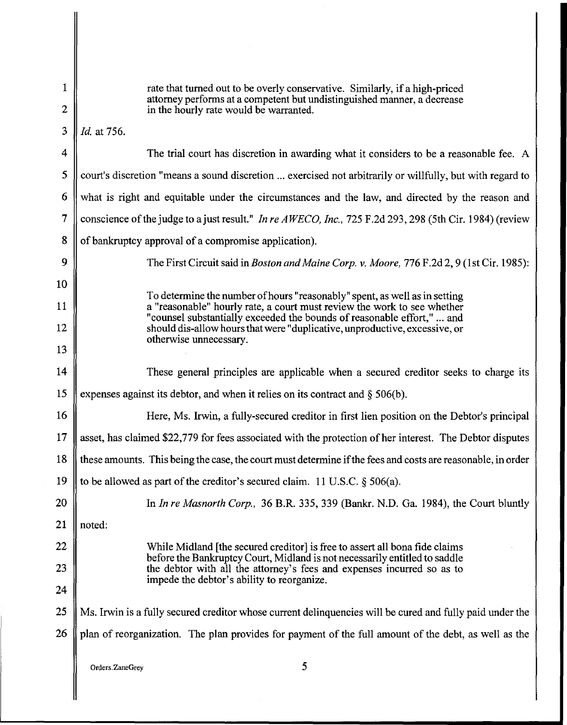| $\mathbf{1}$     | rate that turned out to be overly conservative. Similarly, if a high-priced                                                                                                                                                                                                                                                             |  |  |
|------------------|-----------------------------------------------------------------------------------------------------------------------------------------------------------------------------------------------------------------------------------------------------------------------------------------------------------------------------------------|--|--|
| $\boldsymbol{2}$ | attorney performs at a competent but undistinguished manner, a decrease<br>in the hourly rate would be warranted.                                                                                                                                                                                                                       |  |  |
| 3                | Id. at 756.                                                                                                                                                                                                                                                                                                                             |  |  |
| 4                | The trial court has discretion in awarding what it considers to be a reasonable fee. A                                                                                                                                                                                                                                                  |  |  |
| 5                | court's discretion "means a sound discretion  exercised not arbitrarily or willfully, but with regard to                                                                                                                                                                                                                                |  |  |
| 6                | what is right and equitable under the circumstances and the law, and directed by the reason and                                                                                                                                                                                                                                         |  |  |
| $\overline{7}$   | conscience of the judge to a just result." In re AWECO, Inc., 725 F.2d 293, 298 (5th Cir. 1984) (review                                                                                                                                                                                                                                 |  |  |
| 8                | of bankruptcy approval of a compromise application).                                                                                                                                                                                                                                                                                    |  |  |
| 9                | The First Circuit said in <i>Boston and Maine Corp. v. Moore, 776 F.2d 2, 9 (1st Cir. 1985)</i> :                                                                                                                                                                                                                                       |  |  |
| 10               |                                                                                                                                                                                                                                                                                                                                         |  |  |
| 11               | To determine the number of hours "reasonably" spent, as well as in setting<br>a "reasonable" hourly rate, a court must review the work to see whether<br>"counsel substantially exceeded the bounds of reasonable effort,"  and<br>should dis-allow hours that were "duplicative, unproductive, excessive, or<br>otherwise unnecessary. |  |  |
| 12               |                                                                                                                                                                                                                                                                                                                                         |  |  |
| 13               |                                                                                                                                                                                                                                                                                                                                         |  |  |
| 14               | These general principles are applicable when a secured creditor seeks to charge its                                                                                                                                                                                                                                                     |  |  |
| 15               | expenses against its debtor, and when it relies on its contract and $\S$ 506(b).                                                                                                                                                                                                                                                        |  |  |
| 16               | Here, Ms. Irwin, a fully-secured creditor in first lien position on the Debtor's principal                                                                                                                                                                                                                                              |  |  |
| 17               | asset, has claimed \$22,779 for fees associated with the protection of her interest. The Debtor disputes                                                                                                                                                                                                                                |  |  |
| 18               | these amounts. This being the case, the court must determine if the fees and costs are reasonable, in order                                                                                                                                                                                                                             |  |  |
| 19               | to be allowed as part of the creditor's secured claim. 11 U.S.C. $\S$ 506(a).                                                                                                                                                                                                                                                           |  |  |
| 20               | In In re Masnorth Corp., 36 B.R. 335, 339 (Bankr. N.D. Ga. 1984), the Court bluntly                                                                                                                                                                                                                                                     |  |  |
| 21               | noted:                                                                                                                                                                                                                                                                                                                                  |  |  |
| 22               | While Midland [the secured creditor] is free to assert all bona fide claims                                                                                                                                                                                                                                                             |  |  |
| 23               | before the Bankruptcy Court, Midland is not necessarily entitled to saddle<br>the debtor with all the attorney's fees and expenses incurred so as to                                                                                                                                                                                    |  |  |
| 24               | impede the debtor's ability to reorganize.                                                                                                                                                                                                                                                                                              |  |  |
| 25               | Ms. Irwin is a fully secured creditor whose current delinquencies will be cured and fully paid under the                                                                                                                                                                                                                                |  |  |
| 26               | plan of reorganization. The plan provides for payment of the full amount of the debt, as well as the                                                                                                                                                                                                                                    |  |  |
|                  |                                                                                                                                                                                                                                                                                                                                         |  |  |
|                  | 5<br>Orders.ZaneGrey                                                                                                                                                                                                                                                                                                                    |  |  |
|                  |                                                                                                                                                                                                                                                                                                                                         |  |  |

 $\overline{\phantom{a}}$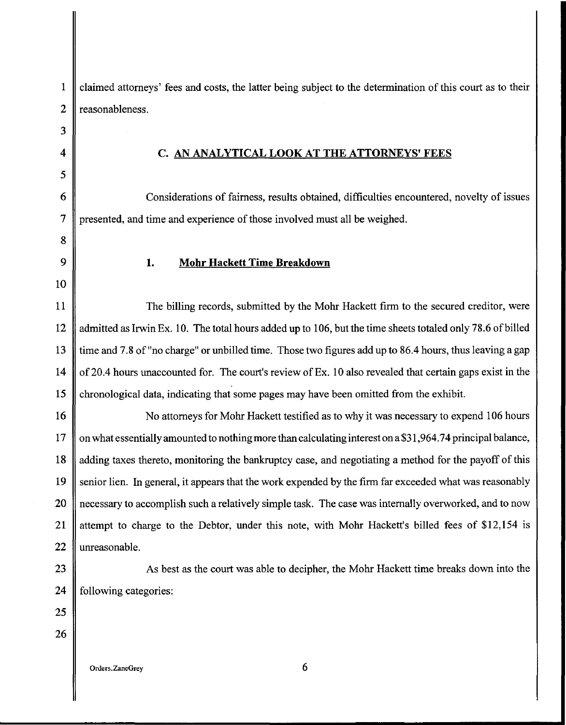1 claimed attorneys' fees and costs, the latter being subject to the determination of this court as to their 2 || reasonableness.

## 4 C. AN ANALYTICAL LOOK AT THE ATTORNEYS' FEES

6 Considerations of fairness, results obtained, difficulties encountered, novelty of issues 7 presented, and time and experience of those involved must all be weighed.

10

8

3

5

## 9 || 1. Mohr Hackett Time Breakdown

11 The billing records, submitted by the Mohr Hackett firm to the secured creditor, were 12 admitted as Irwin Ex. 10. The total hours added up to 106, but the time sheets totaled only 78.6 of billed 13 time and 7.8 of "no charge" or unbilled time. Those two figures add up to 86.4 hours, thus leaving a gap 14  $\parallel$  of 20.4 hours unaccounted for. The court's review of Ex. 10 also revealed that certain gaps exist in the 15 chronological data, indicating that some pages may have been omitted from the exhibit.

16 || No attorneys for Mohr Hackett testified as to why it was necessary to expend 106 hours 17 on what essentially amounted to nothing more than calculating interest on a \$31,964.74 principal balance, 18 adding taxes thereto, monitoring the bankruptcy case, and negotiating a method for the payoff of this 19 senior lien. In general, it appears that the work expended by the firm far exceeded what was reasonably 20 || necessary to accomplish such a relatively simple task. The case was internally overworked, and to now 21 || attempt to charge to the Debtor, under this note, with Mohr Hackett's billed fees of \$12,154 is 22 || unreasonable.

23 As best as the court was able to decipher, the Mohr Hackett time breaks down into the

24  $\parallel$  following categories:

25 26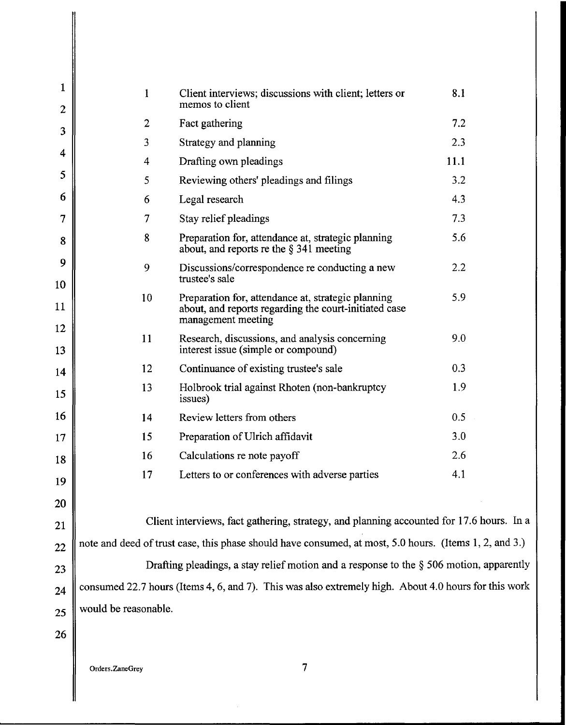| $\mathbf{1}$<br>$\boldsymbol{2}$ | $\mathbf{1}$                                                                                           | Client interviews; discussions with client; letters or<br>memos to client                                                         | 8.1  |
|----------------------------------|--------------------------------------------------------------------------------------------------------|-----------------------------------------------------------------------------------------------------------------------------------|------|
|                                  | $\overline{2}$                                                                                         | Fact gathering                                                                                                                    | 7.2  |
| 3                                | 3                                                                                                      | Strategy and planning                                                                                                             | 2.3  |
| 4                                | 4                                                                                                      | Drafting own pleadings                                                                                                            | 11.1 |
| 5                                | 5                                                                                                      | Reviewing others' pleadings and filings                                                                                           | 3.2  |
| 6                                | 6                                                                                                      | Legal research                                                                                                                    | 4.3  |
| 7                                | 7                                                                                                      | Stay relief pleadings                                                                                                             | 7.3  |
| 8                                | 8                                                                                                      | Preparation for, attendance at, strategic planning<br>about, and reports re the $\S$ 341 meeting                                  | 5.6  |
| 9<br>10                          | 9                                                                                                      | Discussions/correspondence re conducting a new<br>trustee's sale                                                                  | 2.2  |
| 11                               | 10                                                                                                     | Preparation for, attendance at, strategic planning<br>about, and reports regarding the court-initiated case<br>management meeting | 5.9  |
| 12<br>13                         | 11                                                                                                     | Research, discussions, and analysis concerning<br>interest issue (simple or compound)                                             | 9.0  |
| 14                               | 12                                                                                                     | Continuance of existing trustee's sale                                                                                            | 0.3  |
| 15                               | 13                                                                                                     | Holbrook trial against Rhoten (non-bankruptcy<br>issues)                                                                          | 1.9  |
| 16                               | 14                                                                                                     | Review letters from others                                                                                                        | 0.5  |
| 17                               | 15                                                                                                     | Preparation of Ulrich affidavit                                                                                                   | 3.0  |
| 18                               | 16                                                                                                     | Calculations re note payoff                                                                                                       | 2.6  |
| 19                               | 17                                                                                                     | Letters to or conferences with adverse parties                                                                                    | 4.1  |
| 20                               |                                                                                                        |                                                                                                                                   |      |
|                                  |                                                                                                        | Client interviews, fact gathering, strategy, and planning accounted for 17.6 hours. In a                                          |      |
| 21                               | note and deed of trust case, this phase should have consumed, at most, 5.0 hours. (Items 1, 2, and 3.) |                                                                                                                                   |      |
| 22                               |                                                                                                        |                                                                                                                                   |      |
| 23                               | Drafting pleadings, a stay relief motion and a response to the $\S$ 506 motion, apparently             |                                                                                                                                   |      |
| 24                               | consumed 22.7 hours (Items 4, 6, and 7). This was also extremely high. About 4.0 hours for this work   |                                                                                                                                   |      |
| 25                               | would be reasonable.                                                                                   |                                                                                                                                   |      |
| 26                               |                                                                                                        |                                                                                                                                   |      |
|                                  |                                                                                                        |                                                                                                                                   |      |
|                                  | Orders.ZaneGrey                                                                                        | $\overline{\mathcal{L}}$                                                                                                          |      |

ll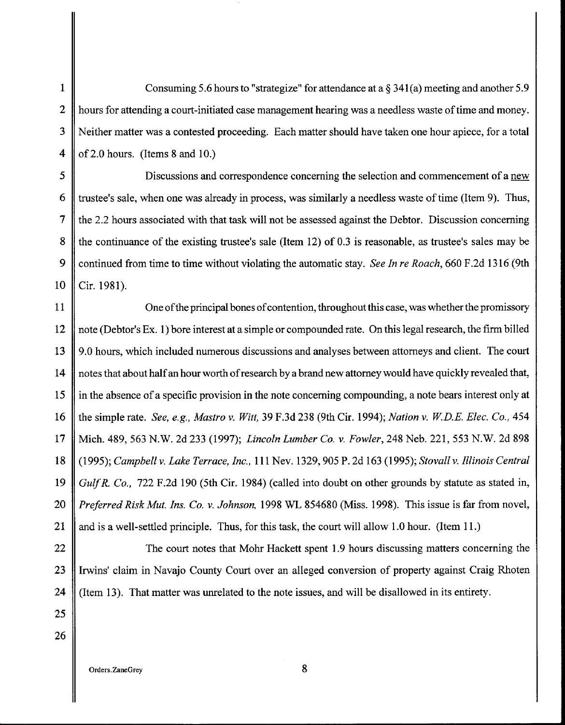**1** Consuming 5.6 hours to "strategize" for attendance at a§ 341(a) meeting and another 5.9 2 hours for attending a court-initiated case management hearing was a needless waste of time and money. 3 Neither matter was a contested proceeding. Each matter should have taken one hour apiece, for a total **4** of2.0 hours. (Items 8 and 10.)

5 Discussions and correspondence concerning the selection and commencement of a new 6 If trustee's sale, when one was already in process, was similarly a needless waste of time (Item 9). Thus, 7 the 2.2 hours associated with that task will not be assessed against the Debtor. Discussion concerning 8 the continuance of the existing trustee's sale (Item 12) of 0.3 is reasonable, as trustee's sales may be 9 continued from time to time without violating the automatic stay. *See In re Roach,* 660 F.2d 1316 (9th 10 Cir. 1981).

11 || One of the principal bones of contention, throughout this case, was whether the promissory 12 note (Debtor's Ex. **1)** bore interest at a simple or compounded rate. On this legal research, the firm billed 13 || 9.0 hours, which included numerous discussions and analyses between attorneys and client. The court 14 || notes that about half an hour worth of research by a brand new attorney would have quickly revealed that, 15 in the absence of a specific provision in the note concerning compounding, a note bears interest only at 16 the simple rate. *See, e.g., Mastro v. Witt,* 39 F.3d 238 (9th Cir. 1994); *Nation v. WD.E. Elec. Co.,* 454 17 Mich. 489,563 N.W. 2d 233 (1997); *Lincoln Lumber Co. v. Fowler,* 248 Neb. 221, 553 N.W. 2d 898 18 (1995); *Campbell v. Lake Terrace, Inc.,* **111** Nev. 1329,905 P. 2d 163 (1995); *Stovall v. Illinois Central*  19 *GulfR. Co.,* 722 F.2d 190 (5th Cir. 1984) (called into doubt on other grounds by statute as stated in, 20 *Preferred Risk Mut. Ins. Co. v. Johnson,* 1998 WL 854680 (Miss. 1998). This issue is far from novel, 21 and is a well-settled principle. Thus, for this task, the court will allow 1.0 hour. (Item **11.)** 

22 ||<br>The court notes that Mohr Hackett spent 1.9 hours discussing matters concerning the 23 Irwins' claim in Navajo County Court over an alleged conversion of property against Craig Rhoten 24 (Item 13). That matter was unrelated to the note issues, and will be disallowed in its entirety.

26

25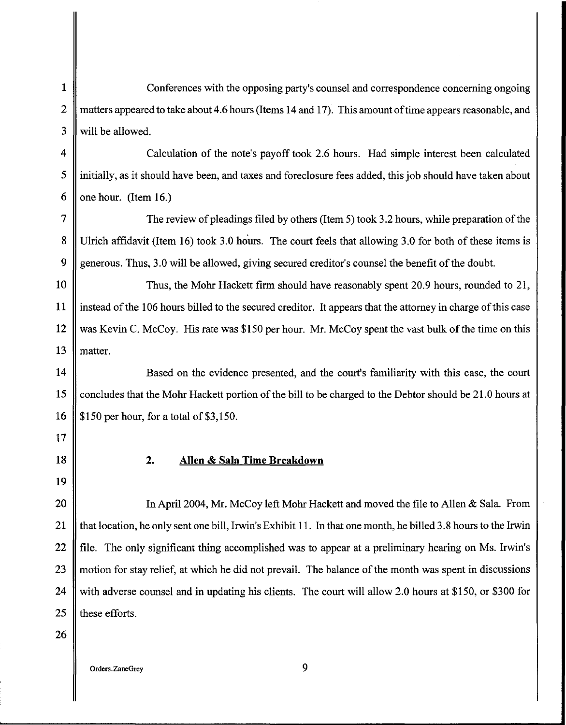1 Conferences with the opposing party's counsel and correspondence concerning ongoing 2 || matters appeared to take about 4.6 hours (Items 14 and 17). This amount of time appears reasonable, and 3 || will be allowed.

4 Calculation of the note's payoff took 2.6 hours. Had simple interest been calculated 5 initially, as it should have been, and taxes and foreclosure fees added, this job should have taken about 6 one hour. (Item 16.)

7 The review of pleadings filed by others (Item 5) took 3.2 hours, while preparation of the 8 Ulrich affidavit (Item 16) took 3.0 hours. The court feels that allowing 3.0 for both of these items is 9 generous. Thus, 3.0 will be allowed, giving secured creditor's counsel the benefit of the doubt.

10 Thus, the Mohr Hackett firm should have reasonably spent 20.9 hours, rounded to 21, 11 instead of the 106 hours billed to the secured creditor. It appears that the attorney in charge of this case 12 was Kevin C. McCoy. His rate was \$150 per hour. Mr. McCoy spent the vast bulk of the time on this 13 || matter.

14 **Based on the evidence presented, and the court's familiarity with this case, the court** 15 concludes that the Mohr Hackett portion of the bill to be charged to the Debtor should be 21.0 hours at 16 | \$150 per hour, for a total of \$3,150.

18 2. **Allen & Sala Time Breakdown** 

20 || In April 2004, Mr. McCoy left Mohr Hackett and moved the file to Allen & Sala. From 21 that location, he only sent one bill, Irwin's Exhibit 11. In that one month, he billed 3.8 hours to the Irwin 22 **f** file. The only significant thing accomplished was to appear at a preliminary hearing on Ms. Irwin's 23 motion for stay relief, at which he did not prevail. The balance of the month was spent in discussions 24 | with adverse counsel and in updating his clients. The court will allow 2.0 hours at \$150, or \$300 for 25  $\parallel$  these efforts.

26

17

19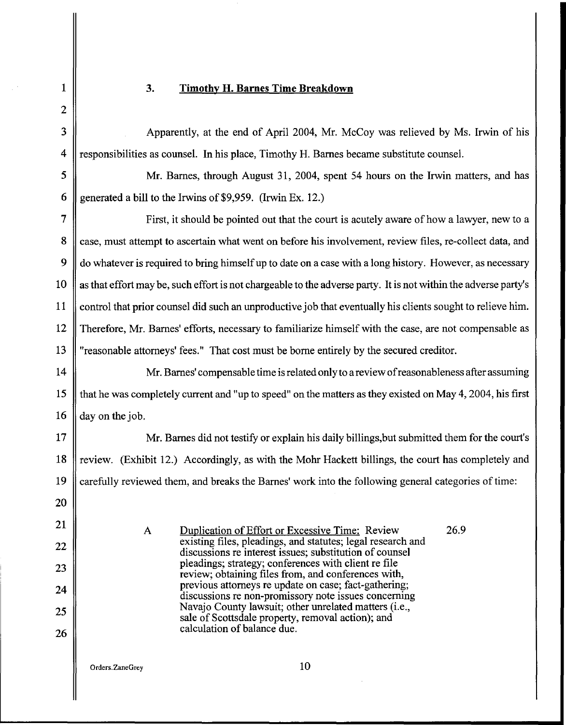## 3. **Timothy H. Barnes Time Breakdown**

**1** 

 $\mathsf{I}$ 

 $\frac{1}{2}$  .

 $\overline{\phantom{a}}$ 

| $\overline{2}$ |                                                                                                                        |  |  |
|----------------|------------------------------------------------------------------------------------------------------------------------|--|--|
| 3              | Apparently, at the end of April 2004, Mr. McCoy was relieved by Ms. Irwin of his                                       |  |  |
| 4              | responsibilities as counsel. In his place, Timothy H. Barnes became substitute counsel.                                |  |  |
| 5              | Mr. Barnes, through August 31, 2004, spent 54 hours on the Irwin matters, and has                                      |  |  |
| 6              | generated a bill to the Irwins of \$9,959. (Irwin Ex. 12.)                                                             |  |  |
| 7              | First, it should be pointed out that the court is acutely aware of how a lawyer, new to a                              |  |  |
| 8              | case, must attempt to ascertain what went on before his involvement, review files, re-collect data, and                |  |  |
| 9              | do whatever is required to bring himself up to date on a case with a long history. However, as necessary               |  |  |
| 10             | as that effort may be, such effort is not chargeable to the adverse party. It is not within the adverse party's        |  |  |
| 11             | control that prior counsel did such an unproductive job that eventually his clients sought to relieve him.             |  |  |
| 12             | Therefore, Mr. Barnes' efforts, necessary to familiarize himself with the case, are not compensable as                 |  |  |
| 13             | "reasonable attorneys' fees." That cost must be borne entirely by the secured creditor.                                |  |  |
| 14             | Mr. Barnes' compensable time is related only to a review of reasonableness after assuming                              |  |  |
| 15             | that he was completely current and "up to speed" on the matters as they existed on May 4, 2004, his first              |  |  |
| 16             | day on the job.                                                                                                        |  |  |
| 17             | Mr. Barnes did not testify or explain his daily billings, but submitted them for the court's                           |  |  |
| 18             | review. (Exhibit 12.) Accordingly, as with the Mohr Hackett billings, the court has completely and                     |  |  |
| 19             | carefully reviewed them, and breaks the Barnes' work into the following general categories of time:                    |  |  |
| 20             |                                                                                                                        |  |  |
| 21             | 26.9<br>Duplication of Effort or Excessive Time: Review<br>$\mathbf{A}$                                                |  |  |
| 22             | existing files, pleadings, and statutes; legal research and<br>discussions re interest issues; substitution of counsel |  |  |
| 23             | pleadings; strategy; conferences with client re file<br>review; obtaining files from, and conferences with,            |  |  |
| 24             | previous attorneys re update on case; fact-gathering;<br>discussions re non-promissory note issues concerning          |  |  |
| 25             | Navajo County lawsuit; other unrelated matters (i.e.,<br>sale of Scottsdale property, removal action); and             |  |  |
| 26             | calculation of balance due.                                                                                            |  |  |
|                | 10<br>Orders.ZaneGrey                                                                                                  |  |  |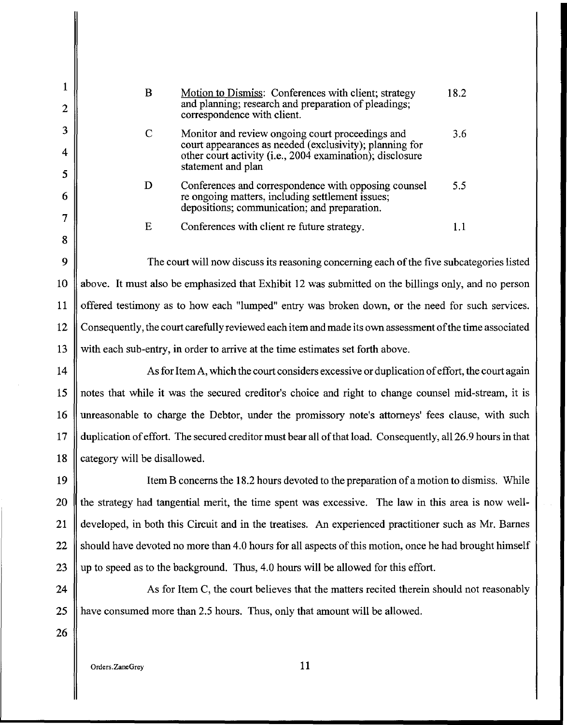| В | Motion to Dismiss: Conferences with client; strategy<br>and planning; research and preparation of pleadings;<br>correspondence with client.                                                    | 18.2 |
|---|------------------------------------------------------------------------------------------------------------------------------------------------------------------------------------------------|------|
| C | Monitor and review ongoing court proceedings and<br>court appearances as needed (exclusivity); planning for<br>other court activity (i.e., 2004 examination); disclosure<br>statement and plan | 3.6  |
|   | Conferences and correspondence with opposing counsel<br>re ongoing matters, including settlement issues;<br>depositions; communication; and preparation.                                       | 55   |
| F | Conferences with client re future strategy.                                                                                                                                                    |      |

9 10 above. It must also be emphasized that Exhibit 12 was submitted on the billings only, and no person The court will now discuss its reasoning concerning each of the five subcategories listed 11 offered testimony as to how each "lumped" entry was broken down, or the need for such services. 12 Consequently, the court carefully reviewed each item and made its own assessment of the time associated 13 with each sub-entry, in order to arrive at the time estimates set forth above.

14 As for Item A, which the court considers excessive or duplication of effort, the court again 15 notes that while it was the secured creditor's choice and right to change counsel mid-stream, it is 16 unreasonable to charge the Debtor, under the promissory note's attorneys' fees clause, with such 17 duplication of effort. The secured creditor must bear all of that load. Consequently, all26.9 hours in that 18 category will be disallowed.

19 Item B concerns the 18.2 hours devoted to the preparation of a motion to dismiss. While 20 If the strategy had tangential merit, the time spent was excessive. The law in this area is now well-21 developed, in both this Circuit and in the treatises. An experienced practitioner such as Mr. Barnes 22 Should have devoted no more than 4.0 hours for all aspects of this motion, once he had brought himself 23  $\parallel$  up to speed as to the background. Thus, 4.0 hours will be allowed for this effort.

24  $\parallel$  As for Item C, the court believes that the matters recited therein should not reasonably 25 have consumed more than 2.5 hours. Thus, only that amount will be allowed.

26

1

2

3

4

5

6

7

8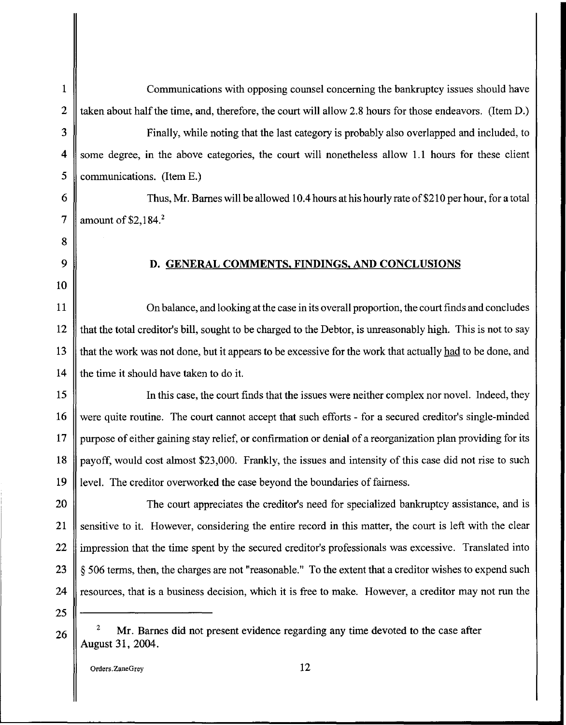1 Communications with opposing counsel concerning the bankruptcy issues should have 2  $\parallel$  taken about half the time, and, therefore, the court will allow 2.8 hours for those endeavors. (Item D.) 3 Finally, while noting that the last category is probably also overlapped and included, to 4 some degree, in the above categories, the court will nonetheless allow 1.1 hours for these client  $5 \parallel$  communications. (Item E.) 6  $\parallel$  Thus, Mr. Barnes will be allowed 10.4 hours at his hourly rate of \$210 per hour, for a total 7 | amount of \$2,184.<sup>2</sup> 8 9 10 D. GENERAL COMMENTS. FINDINGS. AND CONCLUSIONS 11 || On balance, and looking at the case in its overall proportion, the court finds and concludes 12 that the total creditor's bill, sought to be charged to the Debtor, is unreasonably high. This is not to say 13 that the work was not done, but it appears to be excessive for the work that actually had to be done, and 14  $\parallel$  the time it should have taken to do it. 15 In this case, the court finds that the issues were neither complex nor novel. Indeed, they 16 were quite routine. The court cannot accept that such efforts - for a secured creditor's single-minded 17 purpose of either gaining stay relief, or confirmation or denial of a reorganization plan providing for its 18 payoff, would cost almost \$23,000. Frankly, the issues and intensity of this case did not rise to such 19 level. The creditor overworked the case beyond the boundaries of fairness. 20 The court appreciates the creditor's need for specialized bankruptcy assistance, and is 21 Sensitive to it. However, considering the entire record in this matter, the court is left with the clear 22 || impression that the time spent by the secured creditor's professionals was excessive. Translated into 23  $\parallel$  § 506 terms, then, the charges are not "reasonable." To the extent that a creditor wishes to expend such 24  $\parallel$  resources, that is a business decision, which it is free to make. However, a creditor may not run the 25 26 <sup>2</sup>Mr. Barnes did not present evidence regarding any time devoted to the case after August 31, 2004. Orders. ZaneGrey 12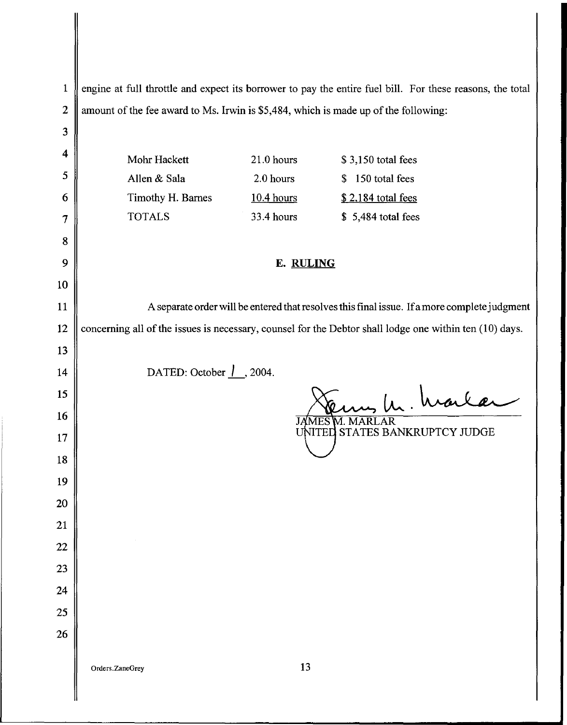| $\mathbf{1}$ |                                                                                              |              | engine at full throttle and expect its borrower to pay the entire fuel bill. For these reasons, the total |
|--------------|----------------------------------------------------------------------------------------------|--------------|-----------------------------------------------------------------------------------------------------------|
| $\mathbf{2}$ | amount of the fee award to Ms. Irwin is \$5,484, which is made up of the following:          |              |                                                                                                           |
| 3            |                                                                                              |              |                                                                                                           |
| 4            | Mohr Hackett                                                                                 | 21.0 hours   | \$3,150 total fees                                                                                        |
| 5            | Allen & Sala                                                                                 | 2.0 hours    | \$150 total fees                                                                                          |
| 6            | Timothy H. Barnes                                                                            | $10.4$ hours | \$2,184 total fees                                                                                        |
| 7            | <b>TOTALS</b>                                                                                | 33.4 hours   | \$5,484 total fees                                                                                        |
| 8            |                                                                                              |              |                                                                                                           |
| 9            |                                                                                              | E. RULING    |                                                                                                           |
| 10           |                                                                                              |              |                                                                                                           |
| 11           | A separate order will be entered that resolves this final issue. If a more complete judgment |              |                                                                                                           |
| 12           |                                                                                              |              | concerning all of the issues is necessary, counsel for the Debtor shall lodge one within ten (10) days.   |
| 13           |                                                                                              |              |                                                                                                           |
| 14           | DATED: October $\frac{1}{1}$ , 2004.                                                         |              |                                                                                                           |
| 15           | In. harlar                                                                                   |              |                                                                                                           |
| 16           | <b>JAMES M. MARLAR</b>                                                                       |              |                                                                                                           |
| 17           | UNITED STATES BANKRUPTCY JUDGE                                                               |              |                                                                                                           |
| 18           |                                                                                              |              |                                                                                                           |
| 19           |                                                                                              |              |                                                                                                           |
| 20           |                                                                                              |              |                                                                                                           |
| 21           |                                                                                              |              |                                                                                                           |
| $22\,$       |                                                                                              |              |                                                                                                           |
| 23           |                                                                                              |              |                                                                                                           |
| 24           |                                                                                              |              |                                                                                                           |
| 25           |                                                                                              |              |                                                                                                           |
| 26           |                                                                                              |              |                                                                                                           |
|              | Orders.ZaneGrey                                                                              | 13           |                                                                                                           |